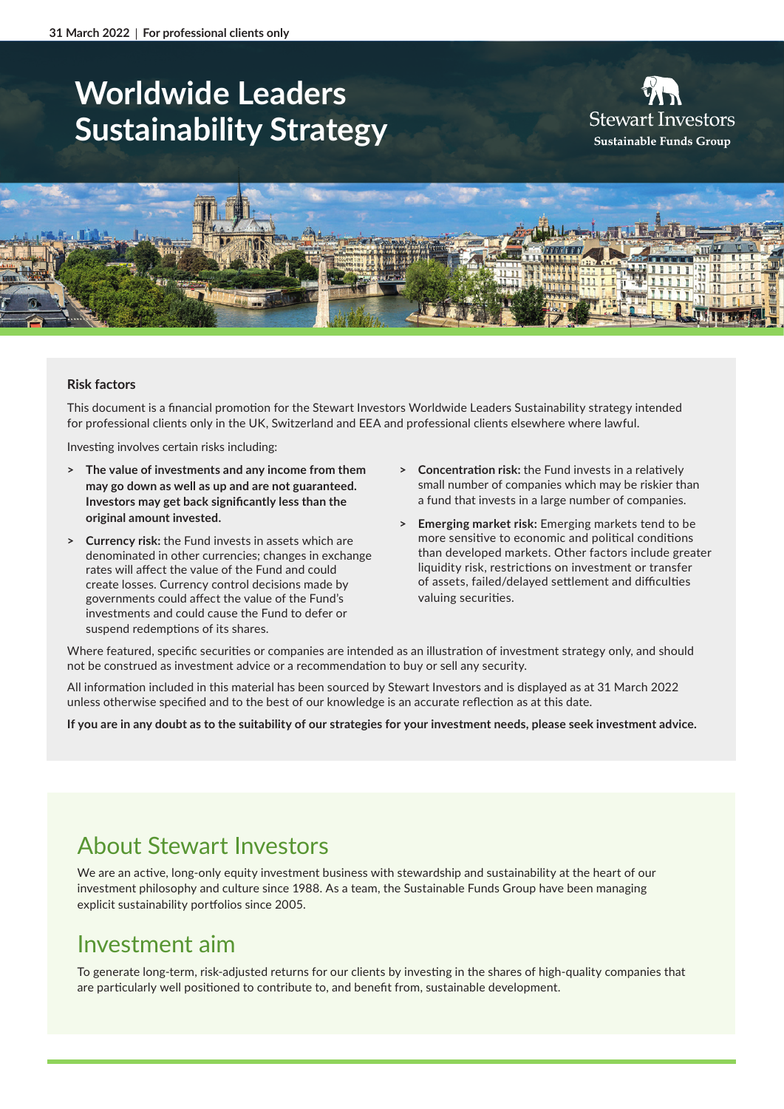# **Worldwide Leaders Sustainability Strategy**

**Stewart Investors** Sustainable Funds Group



#### **Risk factors**

This document is a financial promotion for the Stewart Investors Worldwide Leaders Sustainability strategy intended for professional clients only in the UK, Switzerland and EEA and professional clients elsewhere where lawful.

Investing involves certain risks including:

- **> The value of investments and any income from them may go down as well as up and are not guaranteed. Investors may get back significantly less than the original amount invested.**
- **> Currency risk:** the Fund invests in assets which are denominated in other currencies; changes in exchange rates will affect the value of the Fund and could create losses. Currency control decisions made by governments could affect the value of the Fund's investments and could cause the Fund to defer or suspend redemptions of its shares.
- **> Concentration risk:** the Fund invests in a relatively small number of companies which may be riskier than a fund that invests in a large number of companies.
- **> Emerging market risk:** Emerging markets tend to be more sensitive to economic and political conditions than developed markets. Other factors include greater liquidity risk, restrictions on investment or transfer of assets, failed/delayed settlement and difficulties valuing securities.

Where featured, specific securities or companies are intended as an illustration of investment strategy only, and should not be construed as investment advice or a recommendation to buy or sell any security.

All information included in this material has been sourced by Stewart Investors and is displayed as at 31 March 2022 unless otherwise specified and to the best of our knowledge is an accurate reflection as at this date.

**If you are in any doubt as to the suitability of our strategies for your investment needs, please seek investment advice.**

# About Stewart Investors

We are an active, long-only equity investment business with stewardship and sustainability at the heart of our investment philosophy and culture since 1988. As a team, the Sustainable Funds Group have been managing explicit sustainability portfolios since 2005.

# Investment aim

To generate long-term, risk-adjusted returns for our clients by investing in the shares of high-quality companies that are particularly well positioned to contribute to, and benefit from, sustainable development.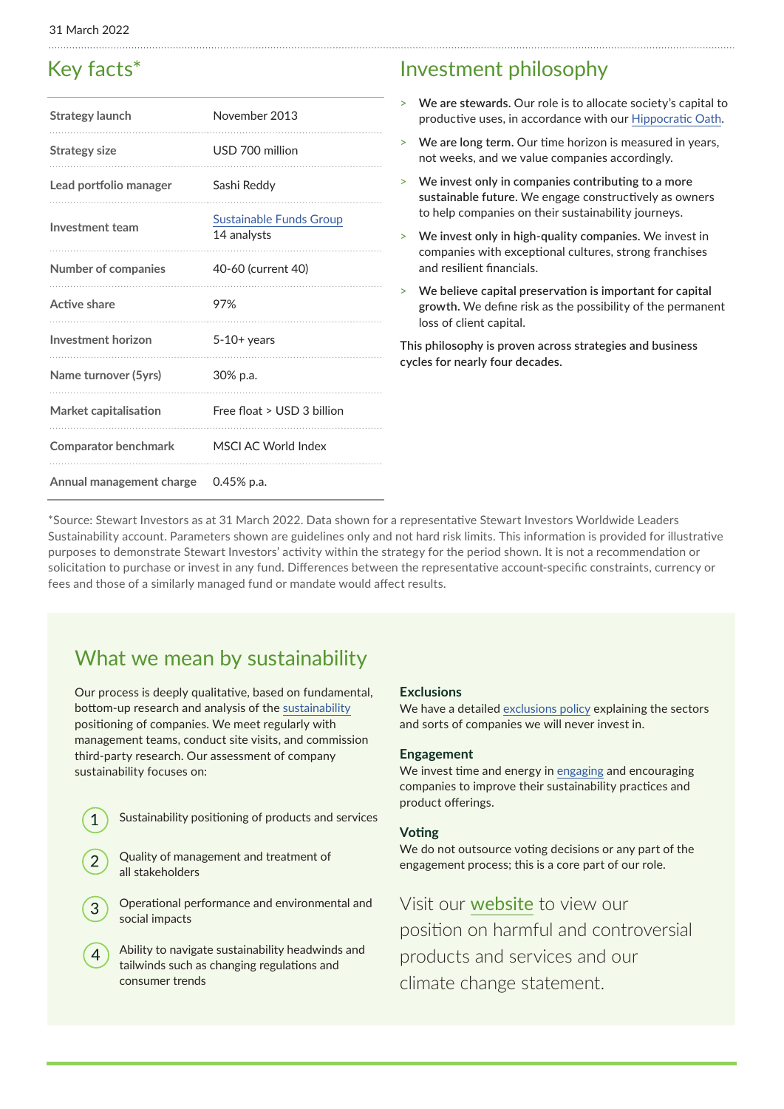### Key facts\*

| Strategy launch             | November 2013                          |
|-----------------------------|----------------------------------------|
| <b>Strategy size</b>        | USD 700 million                        |
| Lead portfolio manager      | Sashi Reddy                            |
| Investment team             | Sustainable Funds Group<br>14 analysts |
| <b>Number of companies</b>  | 40-60 (current 40)                     |
| Active share                | 97%                                    |
| Investment horizon          | $5-10+$ years                          |
| Name turnover (5yrs)        | 30% p.a.                               |
| Market capitalisation       | Free float > USD 3 billion             |
| <b>Comparator benchmark</b> | MSCI AC World Index                    |
| Annual management charge    | $0.45%$ p.a.                           |

### Investment philosophy

- > **We are stewards.** Our role is to allocate society's capital to productive uses, in accordance with our [Hippocratic Oath](https://www.stewartinvestors.com/all/about-us/our-hippocratic-oath.html).
- > **We are long term.** Our time horizon is measured in years, not weeks, and we value companies accordingly.
- > **We invest only in companies contributing to a more sustainable future.** We engage constructively as owners to help companies on their sustainability journeys.
- > **We invest only in high-quality companies.** We invest in companies with exceptional cultures, strong franchises and resilient financials.
- > **We believe capital preservation is important for capital growth.** We define risk as the possibility of the permanent loss of client capital.

**This philosophy is proven across strategies and business cycles for nearly four decades.**

\*Source: Stewart Investors as at 31 March 2022. Data shown for a representative Stewart Investors Worldwide Leaders Sustainability account. Parameters shown are guidelines only and not hard risk limits. This information is provided for illustrative purposes to demonstrate Stewart Investors' activity within the strategy for the period shown. It is not a recommendation or solicitation to purchase or invest in any fund. Differences between the representative account-specific constraints, currency or fees and those of a similarly managed fund or mandate would affect results.

# What we mean by sustainability

Our process is deeply qualitative, based on fundamental, bottom-up research and analysis of the [sustainability](https://www.stewartinvestors.com/all/sustainable-funds-group/how-we-invest/our-approach.html) positioning of companies. We meet regularly with management teams, conduct site visits, and commission third-party research. Our assessment of company sustainability focuses on:

- Sustainability positioning of products and services
- Quality of management and treatment of all stakeholders

 $\mathbf 1$ 

- Operational performance and environmental and social impacts
- Ability to navigate sustainability headwinds and 4 tailwinds such as changing regulations and consumer trends

#### **Exclusions**

We have a detailed [exclusions policy](https://www.stewartinvestors.com/all/insights/sfg/our-position-on-harmful-and-controversial-products-and-services.html) explaining the sectors and sorts of companies we will never invest in.

#### **Engagement**

We invest time and energy in [engaging](https://www.stewartinvestors.com/all/sustainable-funds-group/how-we-invest/engagement.html) and encouraging companies to improve their sustainability practices and product offerings.

#### **Voting**

We do not outsource voting decisions or any part of the engagement process; this is a core part of our role.

Visit our [website](https://www.stewartinvestors.com/all/sustainable-funds-group/our-policies.html) to view our position on harmful and controversial products and services and our climate change statement.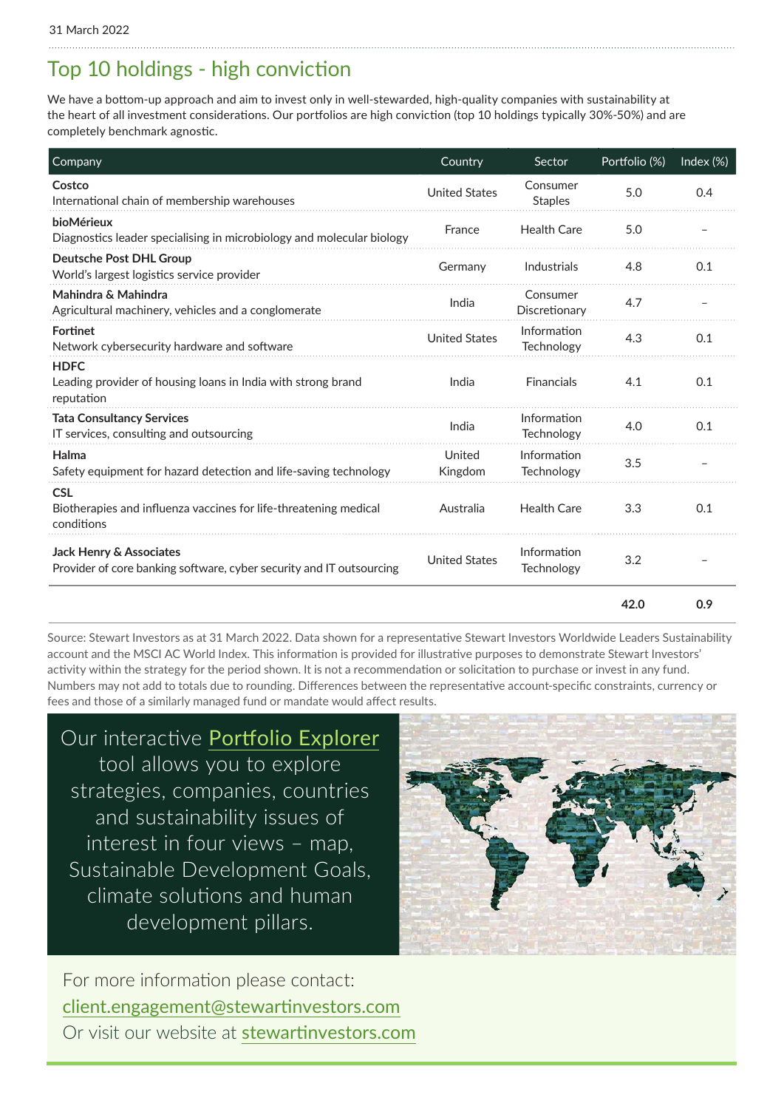# Top 10 holdings - high conviction

We have a bottom-up approach and aim to invest only in well-stewarded, high-quality companies with sustainability at the heart of all investment considerations. Our portfolios are high conviction (top 10 holdings typically 30%-50%) and are completely benchmark agnostic.

| Company                                                                                         | Country              | Sector                     | Portfolio (%) | Index $(\%)$ |
|-------------------------------------------------------------------------------------------------|----------------------|----------------------------|---------------|--------------|
| Costco<br>International chain of membership warehouses                                          | <b>United States</b> | Consumer<br><b>Staples</b> | 5.0           | 0.4          |
| bioMérieux<br>Diagnostics leader specialising in microbiology and molecular biology             | France               | <b>Health Care</b>         | 5.0           |              |
| <b>Deutsche Post DHL Group</b><br>World's largest logistics service provider                    | Germany              | Industrials                | 4.8           | 0.1          |
| Mahindra & Mahindra<br>Agricultural machinery, vehicles and a conglomerate                      | India                | Consumer<br>Discretionary  | 4.7           |              |
| <b>Fortinet</b><br>Network cybersecurity hardware and software                                  | <b>United States</b> | Information<br>Technology  | 4.3           | 0.1          |
| <b>HDFC</b><br>Leading provider of housing loans in India with strong brand<br>reputation       | India                | Financials                 | 4.1           | 0.1          |
| <b>Tata Consultancy Services</b><br>IT services, consulting and outsourcing                     | India                | Information<br>Technology  | 4.0           | 0.1          |
| Halma<br>Safety equipment for hazard detection and life-saving technology                       | United<br>Kingdom    | Information<br>Technology  | 3.5           |              |
| <b>CSL</b><br>Biotherapies and influenza vaccines for life-threatening medical<br>conditions    | Australia            | <b>Health Care</b>         | 3.3           | 0.1          |
| Jack Henry & Associates<br>Provider of core banking software, cyber security and IT outsourcing | <b>United States</b> | Information<br>Technology  | 3.2           |              |
|                                                                                                 |                      |                            | 42.0          | 0.9          |

Source: Stewart Investors as at 31 March 2022. Data shown for a representative Stewart Investors Worldwide Leaders Sustainability account and the MSCI AC World Index. This information is provided for illustrative purposes to demonstrate Stewart Investors' activity within the strategy for the period shown. It is not a recommendation or solicitation to purchase or invest in any fund. Numbers may not add to totals due to rounding. Differences between the representative account-specific constraints, currency or fees and those of a similarly managed fund or mandate would affect results.

Our interactive [Portfolio Explorer](https://www.stewartinvestors.com/all/sustainable-funds-group/introducing-portfolio-explorer/portfolio-explorer.html) tool allows you to explore strategies, companies, countries and sustainability issues of interest in four views – map, Sustainable Development Goals, climate solutions and human development pillars.



For more information please contact: [client.engagement@stewartinvestors.com](mailto:client.engagement%40stewartinvestors.com?subject=) Or visit our website at stewartinvestors.com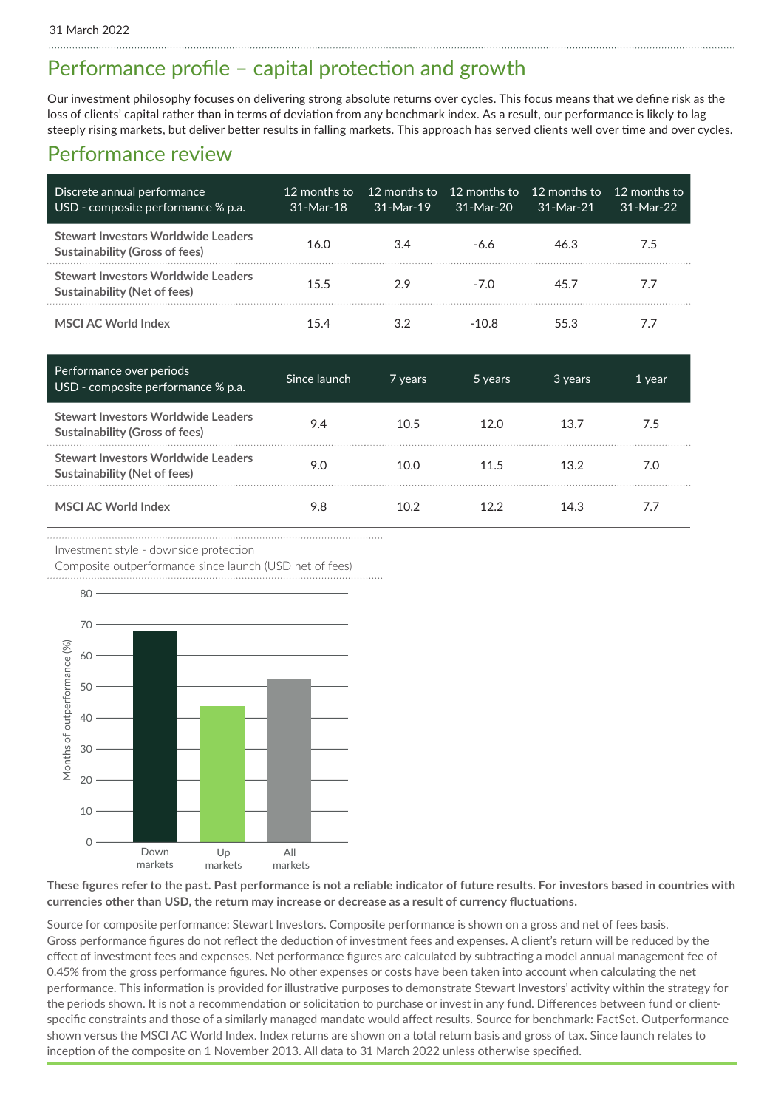### Performance profile – capital protection and growth

Our investment philosophy focuses on delivering strong absolute returns over cycles. This focus means that we define risk as the loss of clients' capital rather than in terms of deviation from any benchmark index. As a result, our performance is likely to lag steeply rising markets, but deliver better results in falling markets. This approach has served clients well over time and over cycles.

### Performance review

| Discrete annual performance<br>USD - composite performance % p.a.            | 12 months to<br>$31-Mar-18$ | $31-Mar-19$ | 12 months to 12 months to<br>$31-Mar-20$ | - 12 months to<br>31-Mar-21 | 12 months to<br>$31-Mar-22$ |
|------------------------------------------------------------------------------|-----------------------------|-------------|------------------------------------------|-----------------------------|-----------------------------|
| <b>Stewart Investors Worldwide Leaders</b><br>Sustainability (Gross of fees) | 16.0                        | 3.4         | -6.6                                     | 46.3                        | 7.5                         |
| <b>Stewart Investors Worldwide Leaders</b><br>Sustainability (Net of fees)   | 15.5                        | 29          | -70                                      | 457                         | 77                          |
| <b>MSCI AC World Index</b>                                                   | 154                         |             | -10.8                                    | 55.3                        | 77                          |

| Performance over periods<br>USD - composite performance % p.a.               | Since launch | 7 years | 5 years | 3 years | 1 year |
|------------------------------------------------------------------------------|--------------|---------|---------|---------|--------|
| Stewart Investors Worldwide Leaders<br><b>Sustainability (Gross of fees)</b> | 9.4          | 10.5    | 12.0    | 13.7    | 7.5    |
| Stewart Investors Worldwide Leaders<br>Sustainability (Net of fees)          | 9.0          | 10.0    | 11.5    | 13.2    | 7.0    |
| <b>MSCI AC World Index</b>                                                   | 9.8          | 10.2    | 122     | 14.3    | 7.7    |

Investment style - downside protection

Composite outperformance since launch (USD net of fees)



#### **These figures refer to the past. Past performance is not a reliable indicator of future results. For investors based in countries with currencies other than USD, the return may increase or decrease as a result of currency fluctuations.**

Source for composite performance: Stewart Investors. Composite performance is shown on a gross and net of fees basis. Gross performance figures do not reflect the deduction of investment fees and expenses. A client's return will be reduced by the effect of investment fees and expenses. Net performance figures are calculated by subtracting a model annual management fee of 0.45% from the gross performance figures. No other expenses or costs have been taken into account when calculating the net performance. This information is provided for illustrative purposes to demonstrate Stewart Investors' activity within the strategy for the periods shown. It is not a recommendation or solicitation to purchase or invest in any fund. Differences between fund or clientspecific constraints and those of a similarly managed mandate would affect results. Source for benchmark: FactSet. Outperformance shown versus the MSCI AC World Index. Index returns are shown on a total return basis and gross of tax. Since launch relates to inception of the composite on 1 November 2013. All data to 31 March 2022 unless otherwise specified.